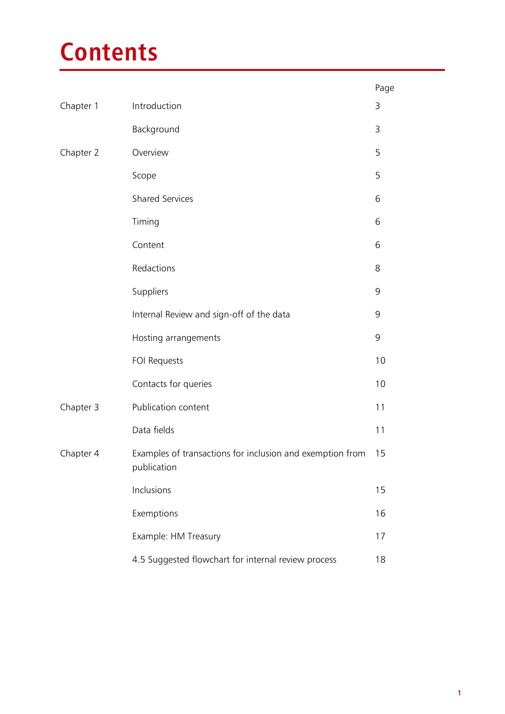# **Contents**

|           |                                                                          | Page |
|-----------|--------------------------------------------------------------------------|------|
| Chapter 1 | Introduction                                                             | 3    |
|           | Background                                                               | 3    |
| Chapter 2 | Overview                                                                 | 5    |
|           | Scope                                                                    | 5    |
|           | <b>Shared Services</b>                                                   | 6    |
|           | Timing                                                                   | 6    |
|           | Content                                                                  | 6    |
|           | Redactions                                                               | 8    |
|           | Suppliers                                                                | 9    |
|           | Internal Review and sign-off of the data                                 | 9    |
|           | Hosting arrangements                                                     | 9    |
|           | FOI Requests                                                             | 10   |
|           | Contacts for queries                                                     | 10   |
| Chapter 3 | Publication content                                                      | 11   |
|           | Data fields                                                              | 11   |
| Chapter 4 | Examples of transactions for inclusion and exemption from<br>publication | 15   |
|           | Inclusions                                                               | 15   |
|           | Exemptions                                                               | 16   |
|           | Example: HM Treasury                                                     | 17   |
|           | 4.5 Suggested flowchart for internal review process                      | 18   |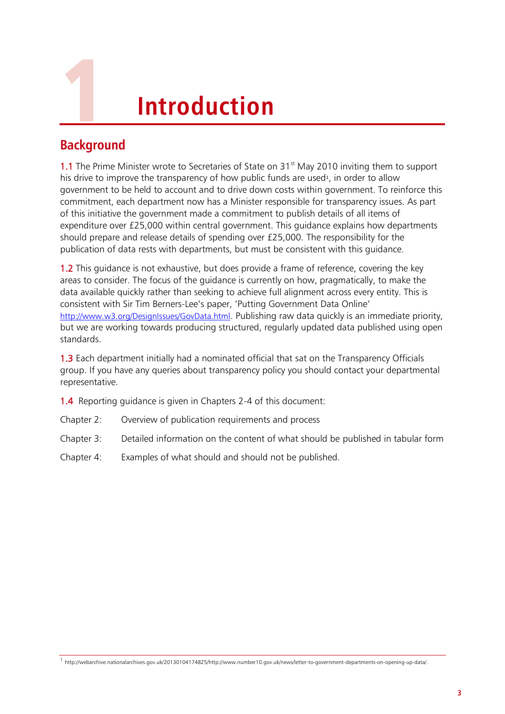

# 1 **Introduction**

## **Background**

1.1 The Prime Minister wrote to Secretaries of State on  $31<sup>st</sup>$  May 2010 inviting them to support his drive to improve the transparency of how public funds are used<sup>1</sup>, in order to allow government to be held to account and to drive down costs within government. To reinforce this commitment, each department now has a Minister responsible for transparency issues. As part of this initiative the government made a commitment to publish details of all items of expenditure over £25,000 within central government. This guidance explains how departments should prepare and release details of spending over £25,000. The responsibility for the publication of data rests with departments, but must be consistent with this guidance.

1.2 This guidance is not exhaustive, but does provide a frame of reference, covering the key areas to consider. The focus of the guidance is currently on how, pragmatically, to make the data available quickly rather than seeking to achieve full alignment across every entity. This is consistent with Sir Tim Berners-Lee's paper, 'Putting Government Data Online' <http://www.w3.org/DesignIssues/GovData.html>. Publishing raw data quickly is an immediate priority, but we are working towards producing structured, regularly updated data published using open standards.

1.3 Each department initially had a nominated official that sat on the Transparency Officials group. If you have any queries about transparency policy you should contact your departmental representative.

1.4 Reporting guidance is given in Chapters 2-4 of this document:

- Chapter 2: Overview of publication requirements and process
- Chapter 3: Detailed information on the content of what should be published in tabular form
- Chapter 4: Examples of what should and should not be published.

1 http://webarchive.nationalarchives.gov.uk/20130104174825/http://www.number10.gov.uk/news/letter-to-government-departments-on-opening-up-data/.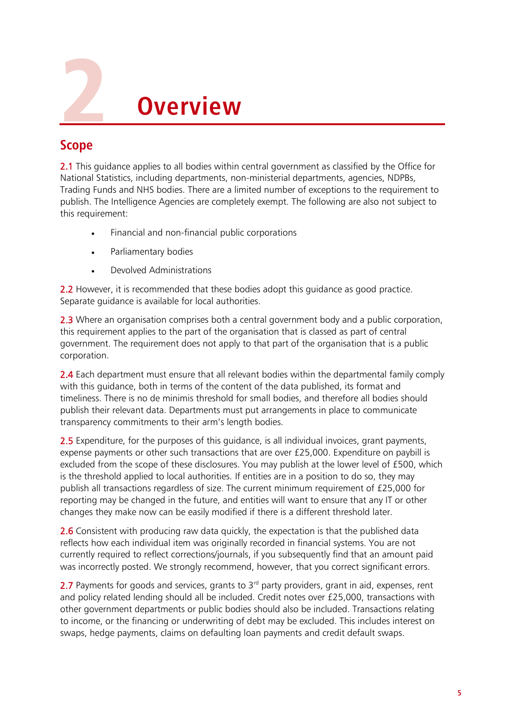

## **Scope**

2.1 This guidance applies to all bodies within central government as classified by the Office for National Statistics, including departments, non-ministerial departments, agencies, NDPBs, Trading Funds and NHS bodies. There are a limited number of exceptions to the requirement to publish. The Intelligence Agencies are completely exempt. The following are also not subject to this requirement:

- Financial and non-financial public corporations
- Parliamentary bodies
- Devolved Administrations

2.2 However, it is recommended that these bodies adopt this quidance as good practice. Separate guidance is available for local authorities.

2.3 Where an organisation comprises both a central government body and a public corporation, this requirement applies to the part of the organisation that is classed as part of central government. The requirement does not apply to that part of the organisation that is a public corporation.

2.4 Each department must ensure that all relevant bodies within the departmental family comply with this guidance, both in terms of the content of the data published, its format and timeliness. There is no de minimis threshold for small bodies, and therefore all bodies should publish their relevant data. Departments must put arrangements in place to communicate transparency commitments to their arm's length bodies.

2.5 Expenditure, for the purposes of this guidance, is all individual invoices, grant payments, expense payments or other such transactions that are over £25,000. Expenditure on paybill is excluded from the scope of these disclosures. You may publish at the lower level of £500, which is the threshold applied to local authorities. If entities are in a position to do so, they may publish all transactions regardless of size. The current minimum requirement of £25,000 for reporting may be changed in the future, and entities will want to ensure that any IT or other changes they make now can be easily modified if there is a different threshold later.

2.6 Consistent with producing raw data quickly, the expectation is that the published data reflects how each individual item was originally recorded in financial systems. You are not currently required to reflect corrections/journals, if you subsequently find that an amount paid was incorrectly posted. We strongly recommend, however, that you correct significant errors.

2.7 Payments for goods and services, grants to  $3<sup>rd</sup>$  party providers, grant in aid, expenses, rent and policy related lending should all be included. Credit notes over £25,000, transactions with other government departments or public bodies should also be included. Transactions relating to income, or the financing or underwriting of debt may be excluded. This includes interest on swaps, hedge payments, claims on defaulting loan payments and credit default swaps.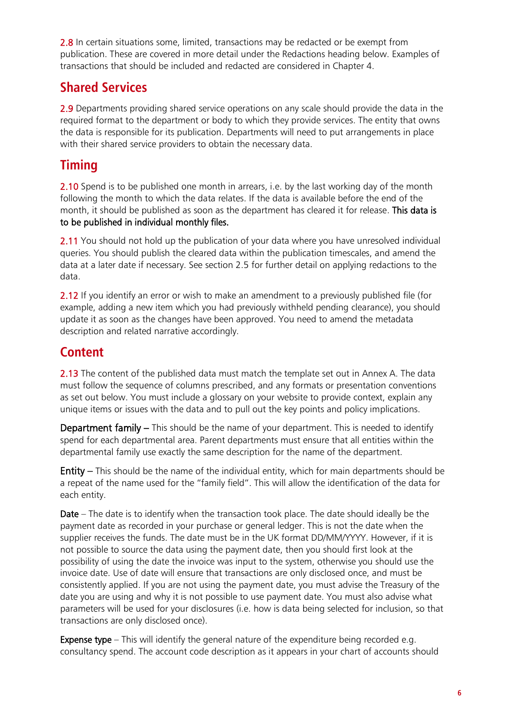2.8 In certain situations some, limited, transactions may be redacted or be exempt from publication. These are covered in more detail under the Redactions heading below. Examples of transactions that should be included and redacted are considered in Chapter 4.

## **Shared Services**

2.9 Departments providing shared service operations on any scale should provide the data in the required format to the department or body to which they provide services. The entity that owns the data is responsible for its publication. Departments will need to put arrangements in place with their shared service providers to obtain the necessary data.

# **Timing**

2.10 Spend is to be published one month in arrears, i.e. by the last working day of the month following the month to which the data relates. If the data is available before the end of the month, it should be published as soon as the department has cleared it for release. This data is to be published in individual monthly files.

2.11 You should not hold up the publication of your data where you have unresolved individual queries. You should publish the cleared data within the publication timescales, and amend the data at a later date if necessary. See section 2.5 for further detail on applying redactions to the data.

2.12 If you identify an error or wish to make an amendment to a previously published file (for example, adding a new item which you had previously withheld pending clearance), you should update it as soon as the changes have been approved. You need to amend the metadata description and related narrative accordingly.

## **Content**

2.13 The content of the published data must match the template set out in Annex A. The data must follow the sequence of columns prescribed, and any formats or presentation conventions as set out below. You must include a glossary on your website to provide context, explain any unique items or issues with the data and to pull out the key points and policy implications.

Department family – This should be the name of your department. This is needed to identify spend for each departmental area. Parent departments must ensure that all entities within the departmental family use exactly the same description for the name of the department.

Entity – This should be the name of the individual entity, which for main departments should be a repeat of the name used for the "family field". This will allow the identification of the data for each entity.

Date – The date is to identify when the transaction took place. The date should ideally be the payment date as recorded in your purchase or general ledger. This is not the date when the supplier receives the funds. The date must be in the UK format DD/MM/YYYY. However, if it is not possible to source the data using the payment date, then you should first look at the possibility of using the date the invoice was input to the system, otherwise you should use the invoice date. Use of date will ensure that transactions are only disclosed once, and must be consistently applied. If you are not using the payment date, you must advise the Treasury of the date you are using and why it is not possible to use payment date. You must also advise what parameters will be used for your disclosures (i.e. how is data being selected for inclusion, so that transactions are only disclosed once).

**Expense type** – This will identify the general nature of the expenditure being recorded e.g. consultancy spend. The account code description as it appears in your chart of accounts should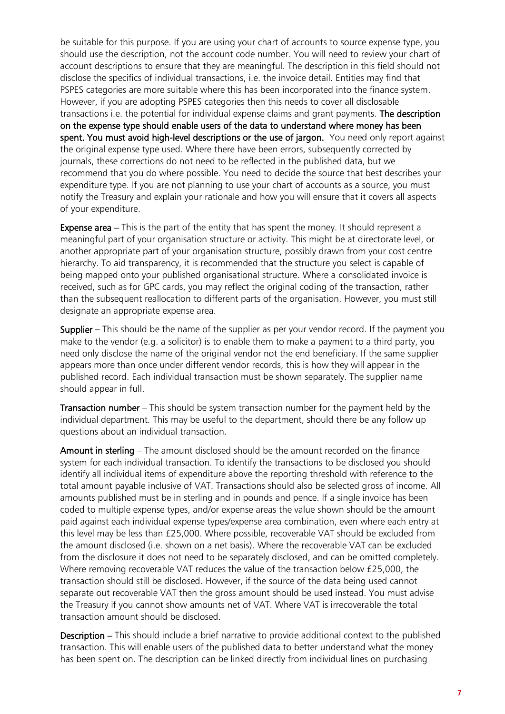be suitable for this purpose. If you are using your chart of accounts to source expense type, you should use the description, not the account code number. You will need to review your chart of account descriptions to ensure that they are meaningful. The description in this field should not disclose the specifics of individual transactions, i.e. the invoice detail. Entities may find that PSPES categories are more suitable where this has been incorporated into the finance system. However, if you are adopting PSPES categories then this needs to cover all disclosable transactions i.e. the potential for individual expense claims and grant payments. The description on the expense type should enable users of the data to understand where money has been spent. You must avoid high-level descriptions or the use of jargon. You need only report against the original expense type used. Where there have been errors, subsequently corrected by journals, these corrections do not need to be reflected in the published data, but we recommend that you do where possible. You need to decide the source that best describes your expenditure type. If you are not planning to use your chart of accounts as a source, you must notify the Treasury and explain your rationale and how you will ensure that it covers all aspects of your expenditure.

Expense area – This is the part of the entity that has spent the money. It should represent a meaningful part of your organisation structure or activity. This might be at directorate level, or another appropriate part of your organisation structure, possibly drawn from your cost centre hierarchy. To aid transparency, it is recommended that the structure you select is capable of being mapped onto your published organisational structure. Where a consolidated invoice is received, such as for GPC cards, you may reflect the original coding of the transaction, rather than the subsequent reallocation to different parts of the organisation. However, you must still designate an appropriate expense area.

Supplier – This should be the name of the supplier as per your vendor record. If the payment you make to the vendor (e.g. a solicitor) is to enable them to make a payment to a third party, you need only disclose the name of the original vendor not the end beneficiary. If the same supplier appears more than once under different vendor records, this is how they will appear in the published record. Each individual transaction must be shown separately. The supplier name should appear in full.

Transaction number – This should be system transaction number for the payment held by the individual department. This may be useful to the department, should there be any follow up questions about an individual transaction.

Amount in sterling – The amount disclosed should be the amount recorded on the finance system for each individual transaction. To identify the transactions to be disclosed you should identify all individual items of expenditure above the reporting threshold with reference to the total amount payable inclusive of VAT. Transactions should also be selected gross of income. All amounts published must be in sterling and in pounds and pence. If a single invoice has been coded to multiple expense types, and/or expense areas the value shown should be the amount paid against each individual expense types/expense area combination, even where each entry at this level may be less than £25,000. Where possible, recoverable VAT should be excluded from the amount disclosed (i.e. shown on a net basis). Where the recoverable VAT can be excluded from the disclosure it does not need to be separately disclosed, and can be omitted completely. Where removing recoverable VAT reduces the value of the transaction below £25,000, the transaction should still be disclosed. However, if the source of the data being used cannot separate out recoverable VAT then the gross amount should be used instead. You must advise the Treasury if you cannot show amounts net of VAT. Where VAT is irrecoverable the total transaction amount should be disclosed.

Description – This should include a brief narrative to provide additional context to the published transaction. This will enable users of the published data to better understand what the money has been spent on. The description can be linked directly from individual lines on purchasing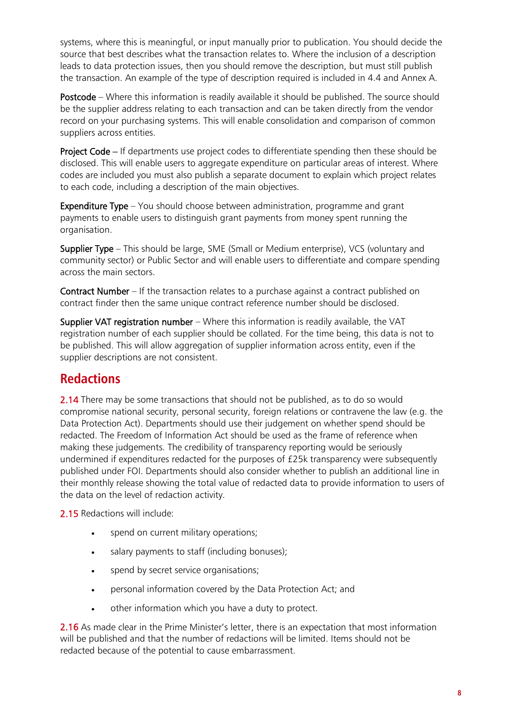systems, where this is meaningful, or input manually prior to publication. You should decide the source that best describes what the transaction relates to. Where the inclusion of a description leads to data protection issues, then you should remove the description, but must still publish the transaction. An example of the type of description required is included in 4.4 and Annex A.

Postcode – Where this information is readily available it should be published. The source should be the supplier address relating to each transaction and can be taken directly from the vendor record on your purchasing systems. This will enable consolidation and comparison of common suppliers across entities.

Project Code – If departments use project codes to differentiate spending then these should be disclosed. This will enable users to aggregate expenditure on particular areas of interest. Where codes are included you must also publish a separate document to explain which project relates to each code, including a description of the main objectives.

Expenditure Type – You should choose between administration, programme and grant payments to enable users to distinguish grant payments from money spent running the organisation.

Supplier Type – This should be large, SME (Small or Medium enterprise), VCS (voluntary and community sector) or Public Sector and will enable users to differentiate and compare spending across the main sectors.

Contract Number – If the transaction relates to a purchase against a contract published on contract finder then the same unique contract reference number should be disclosed.

Supplier VAT registration number – Where this information is readily available, the VAT registration number of each supplier should be collated. For the time being, this data is not to be published. This will allow aggregation of supplier information across entity, even if the supplier descriptions are not consistent.

#### **Redactions**

2.14 There may be some transactions that should not be published, as to do so would compromise national security, personal security, foreign relations or contravene the law (e.g. the Data Protection Act). Departments should use their judgement on whether spend should be redacted. The Freedom of Information Act should be used as the frame of reference when making these judgements. The credibility of transparency reporting would be seriously undermined if expenditures redacted for the purposes of £25k transparency were subsequently published under FOI. Departments should also consider whether to publish an additional line in their monthly release showing the total value of redacted data to provide information to users of the data on the level of redaction activity.

2.15 Redactions will include:

- spend on current military operations;
- salary payments to staff (including bonuses);
- spend by secret service organisations;
- personal information covered by the Data Protection Act; and
- other information which you have a duty to protect.

2.16 As made clear in the Prime Minister's letter, there is an expectation that most information will be published and that the number of redactions will be limited. Items should not be redacted because of the potential to cause embarrassment.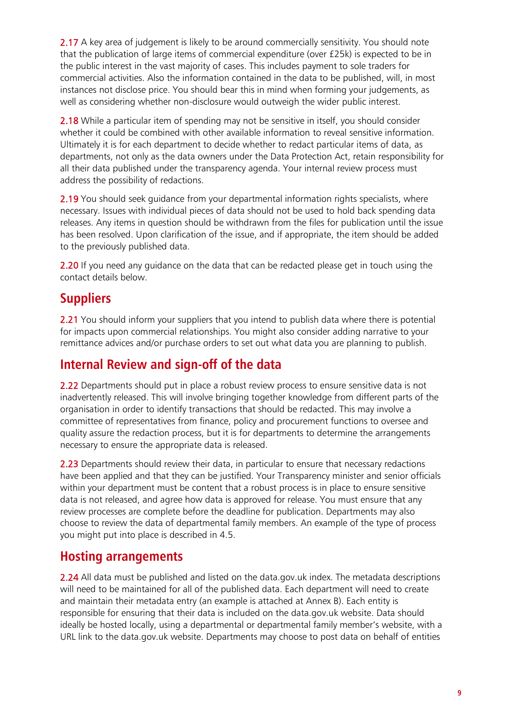2.17 A key area of judgement is likely to be around commercially sensitivity. You should note that the publication of large items of commercial expenditure (over £25k) is expected to be in the public interest in the vast majority of cases. This includes payment to sole traders for commercial activities. Also the information contained in the data to be published, will, in most instances not disclose price. You should bear this in mind when forming your judgements, as well as considering whether non-disclosure would outweigh the wider public interest.

2.18 While a particular item of spending may not be sensitive in itself, you should consider whether it could be combined with other available information to reveal sensitive information. Ultimately it is for each department to decide whether to redact particular items of data, as departments, not only as the data owners under the Data Protection Act, retain responsibility for all their data published under the transparency agenda. Your internal review process must address the possibility of redactions.

2.19 You should seek quidance from your departmental information rights specialists, where necessary. Issues with individual pieces of data should not be used to hold back spending data releases. Any items in question should be withdrawn from the files for publication until the issue has been resolved. Upon clarification of the issue, and if appropriate, the item should be added to the previously published data.

2.20 If you need any quidance on the data that can be redacted please get in touch using the contact details below.

#### **Suppliers**

2.21 You should inform your suppliers that you intend to publish data where there is potential for impacts upon commercial relationships. You might also consider adding narrative to your remittance advices and/or purchase orders to set out what data you are planning to publish.

## **Internal Review and sign-off of the data**

2.22 Departments should put in place a robust review process to ensure sensitive data is not inadvertently released. This will involve bringing together knowledge from different parts of the organisation in order to identify transactions that should be redacted. This may involve a committee of representatives from finance, policy and procurement functions to oversee and quality assure the redaction process, but it is for departments to determine the arrangements necessary to ensure the appropriate data is released.

2.23 Departments should review their data, in particular to ensure that necessary redactions have been applied and that they can be justified. Your Transparency minister and senior officials within your department must be content that a robust process is in place to ensure sensitive data is not released, and agree how data is approved for release. You must ensure that any review processes are complete before the deadline for publication. Departments may also choose to review the data of departmental family members. An example of the type of process you might put into place is described in 4.5.

#### **Hosting arrangements**

2.24 All data must be published and listed on the data.gov.uk index. The metadata descriptions will need to be maintained for all of the published data. Each department will need to create and maintain their metadata entry (an example is attached at Annex B). Each entity is responsible for ensuring that their data is included on the data.gov.uk website. Data should ideally be hosted locally, using a departmental or departmental family member's website, with a URL link to the data.gov.uk website. Departments may choose to post data on behalf of entities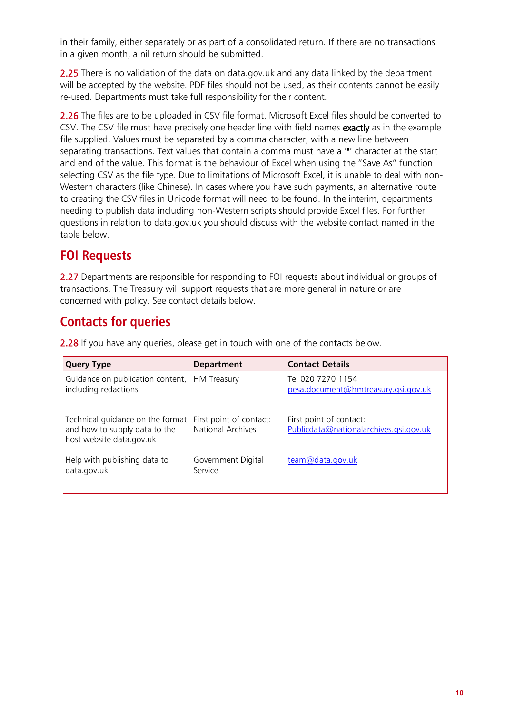in their family, either separately or as part of a consolidated return. If there are no transactions in a given month, a nil return should be submitted.

2.25 There is no validation of the data on data.gov.uk and any data linked by the department will be accepted by the website. PDF files should not be used, as their contents cannot be easily re-used. Departments must take full responsibility for their content.

2.26 The files are to be uploaded in CSV file format. Microsoft Excel files should be converted to CSV. The CSV file must have precisely one header line with field names exactly as in the example file supplied. Values must be separated by a comma character, with a new line between separating transactions. Text values that contain a comma must have a '"' character at the start and end of the value. This format is the behaviour of Excel when using the "Save As" function selecting CSV as the file type. Due to limitations of Microsoft Excel, it is unable to deal with non-Western characters (like Chinese). In cases where you have such payments, an alternative route to creating the CSV files in Unicode format will need to be found. In the interim, departments needing to publish data including non-Western scripts should provide Excel files. For further questions in relation to data.gov.uk you should discuss with the website contact named in the table below.

### **FOI Requests**

2.27 Departments are responsible for responding to FOI requests about individual or groups of transactions. The Treasury will support requests that are more general in nature or are concerned with policy. See contact details below.

## **Contacts for queries**

2.28 If you have any queries, please get in touch with one of the contacts below.

| <b>Query Type</b>                                                                                                     | <b>Department</b>             | <b>Contact Details</b>                                            |
|-----------------------------------------------------------------------------------------------------------------------|-------------------------------|-------------------------------------------------------------------|
| Guidance on publication content, HM Treasury<br>including redactions                                                  |                               | Tel 020 7270 1154<br>pesa.document@hmtreasury.gsi.gov.uk          |
| Technical quidance on the format First point of contact:<br>and how to supply data to the<br>host website data.gov.uk | National Archives             | First point of contact:<br>Publicdata@nationalarchives.gsi.gov.uk |
| Help with publishing data to<br>data.gov.uk                                                                           | Government Digital<br>Service | team@data.gov.uk                                                  |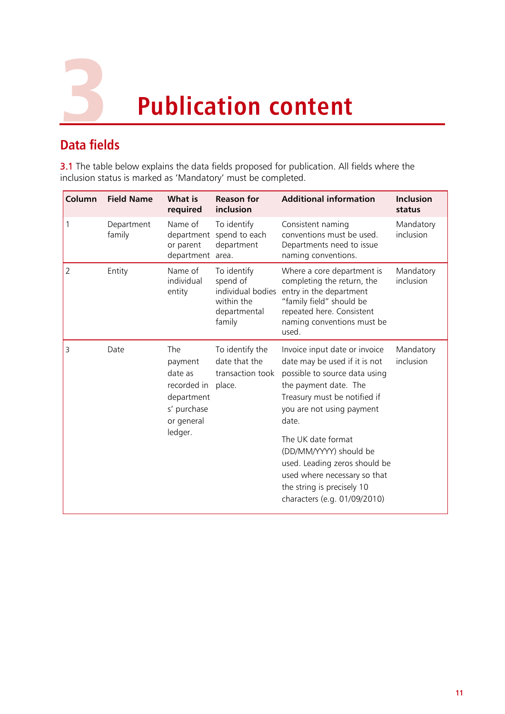

# **Data fields**

**3.1** The table below explains the data fields proposed for publication. All fields where the inclusion status is marked as 'Mandatory' must be completed.

| Column | <b>Field Name</b>    | <b>What is</b><br>required                                                                            | <b>Reason for</b><br>inclusion                                                       | <b>Additional information</b>                                                                                                                                                                                                                                                                                                                                                 | <b>Inclusion</b><br>status |
|--------|----------------------|-------------------------------------------------------------------------------------------------------|--------------------------------------------------------------------------------------|-------------------------------------------------------------------------------------------------------------------------------------------------------------------------------------------------------------------------------------------------------------------------------------------------------------------------------------------------------------------------------|----------------------------|
|        | Department<br>family | Name of<br>department<br>or parent<br>department area.                                                | To identify<br>spend to each<br>department                                           | Consistent naming<br>conventions must be used.<br>Departments need to issue<br>naming conventions.                                                                                                                                                                                                                                                                            | Mandatory<br>inclusion     |
| 2      | Entity               | Name of<br>individual<br>entity                                                                       | To identify<br>spend of<br>individual bodies<br>within the<br>departmental<br>family | Where a core department is<br>completing the return, the<br>entry in the department<br>"family field" should be<br>repeated here. Consistent<br>naming conventions must be<br>used.                                                                                                                                                                                           | Mandatory<br>inclusion     |
| 3      | Date                 | <b>The</b><br>payment<br>date as<br>recorded in<br>department<br>s' purchase<br>or general<br>ledger. | To identify the<br>date that the<br>transaction took<br>place.                       | Invoice input date or invoice<br>date may be used if it is not<br>possible to source data using<br>the payment date. The<br>Treasury must be notified if<br>you are not using payment<br>date.<br>The UK date format<br>(DD/MM/YYYY) should be<br>used. Leading zeros should be<br>used where necessary so that<br>the string is precisely 10<br>characters (e.g. 01/09/2010) | Mandatory<br>inclusion     |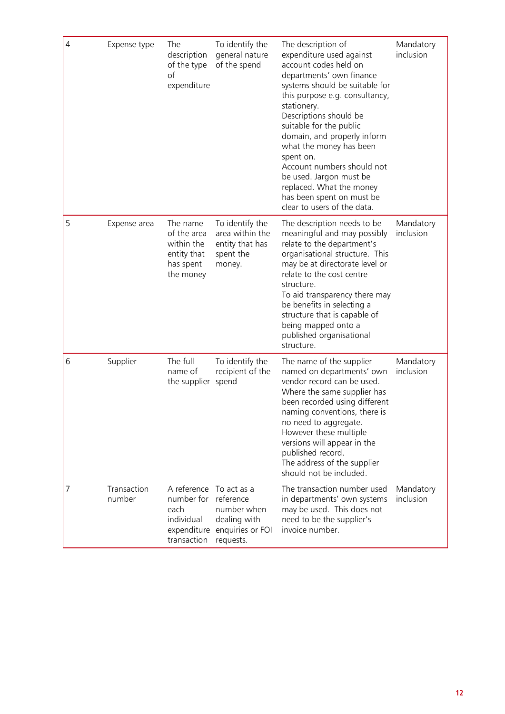| $\overline{4}$ | Expense type          | The<br>description<br>of the type<br>of<br>expenditure                                    | To identify the<br>general nature<br>of the spend                            | The description of<br>expenditure used against<br>account codes held on<br>departments' own finance<br>systems should be suitable for<br>this purpose e.g. consultancy,<br>stationery.<br>Descriptions should be<br>suitable for the public<br>domain, and properly inform<br>what the money has been<br>spent on.<br>Account numbers should not<br>be used. Jargon must be<br>replaced. What the money<br>has been spent on must be<br>clear to users of the data. | Mandatory<br>inclusion |
|----------------|-----------------------|-------------------------------------------------------------------------------------------|------------------------------------------------------------------------------|---------------------------------------------------------------------------------------------------------------------------------------------------------------------------------------------------------------------------------------------------------------------------------------------------------------------------------------------------------------------------------------------------------------------------------------------------------------------|------------------------|
| 5              | Expense area          | The name<br>of the area<br>within the<br>entity that<br>has spent<br>the money            | To identify the<br>area within the<br>entity that has<br>spent the<br>money. | The description needs to be<br>meaningful and may possibly<br>relate to the department's<br>organisational structure. This<br>may be at directorate level or<br>relate to the cost centre<br>structure.<br>To aid transparency there may<br>be benefits in selecting a<br>structure that is capable of<br>being mapped onto a<br>published organisational<br>structure.                                                                                             | Mandatory<br>inclusion |
| 6              | Supplier              | The full<br>name of<br>the supplier                                                       | To identify the<br>recipient of the<br>spend                                 | The name of the supplier<br>named on departments' own<br>vendor record can be used.<br>Where the same supplier has<br>been recorded using different<br>naming conventions, there is<br>no need to aggregate.<br>However these multiple<br>versions will appear in the<br>published record.<br>The address of the supplier<br>should not be included.                                                                                                                | Mandatory<br>inclusion |
| 7              | Transaction<br>number | A reference To act as a<br>number for<br>each<br>individual<br>expenditure<br>transaction | reference<br>number when<br>dealing with<br>enquiries or FOI<br>requests.    | The transaction number used<br>in departments' own systems<br>may be used. This does not<br>need to be the supplier's<br>invoice number.                                                                                                                                                                                                                                                                                                                            | Mandatory<br>inclusion |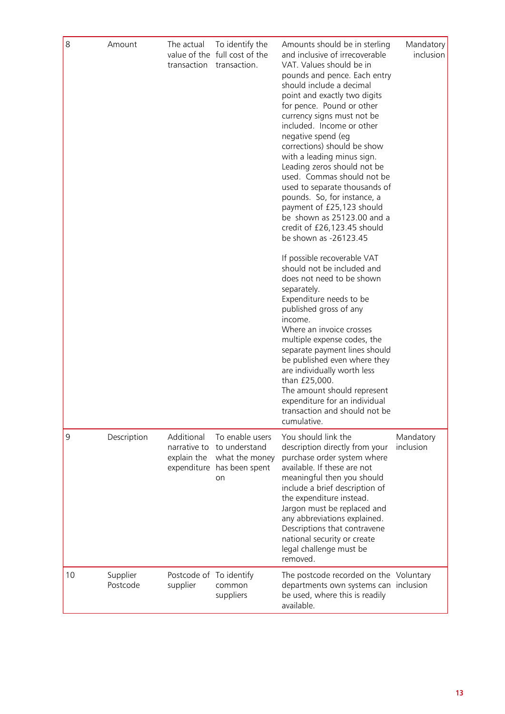| 8  | Amount               | The actual<br>transaction                                | To identify the<br>value of the full cost of the<br>transaction.           | Amounts should be in sterling<br>and inclusive of irrecoverable<br>VAT. Values should be in<br>pounds and pence. Each entry<br>should include a decimal<br>point and exactly two digits<br>for pence. Pound or other<br>currency signs must not be<br>included. Income or other<br>negative spend (eg<br>corrections) should be show<br>with a leading minus sign.<br>Leading zeros should not be<br>used. Commas should not be<br>used to separate thousands of<br>pounds. So, for instance, a<br>payment of £25,123 should<br>be shown as 25123.00 and a<br>credit of £26,123.45 should<br>be shown as -26123.45<br>If possible recoverable VAT<br>should not be included and<br>does not need to be shown<br>separately.<br>Expenditure needs to be<br>published gross of any<br>income.<br>Where an invoice crosses<br>multiple expense codes, the<br>separate payment lines should<br>be published even where they<br>are individually worth less<br>than £25,000.<br>The amount should represent<br>expenditure for an individual<br>transaction and should not be<br>cumulative. | Mandatory<br>inclusion |
|----|----------------------|----------------------------------------------------------|----------------------------------------------------------------------------|-----------------------------------------------------------------------------------------------------------------------------------------------------------------------------------------------------------------------------------------------------------------------------------------------------------------------------------------------------------------------------------------------------------------------------------------------------------------------------------------------------------------------------------------------------------------------------------------------------------------------------------------------------------------------------------------------------------------------------------------------------------------------------------------------------------------------------------------------------------------------------------------------------------------------------------------------------------------------------------------------------------------------------------------------------------------------------------------|------------------------|
| 9  | Description          | Additional<br>narrative to<br>explain the<br>expenditure | To enable users<br>to understand<br>what the money<br>has been spent<br>on | You should link the<br>description directly from your<br>purchase order system where<br>available. If these are not<br>meaningful then you should<br>include a brief description of<br>the expenditure instead.<br>Jargon must be replaced and<br>any abbreviations explained.<br>Descriptions that contravene<br>national security or create<br>legal challenge must be<br>removed.                                                                                                                                                                                                                                                                                                                                                                                                                                                                                                                                                                                                                                                                                                    | Mandatory<br>inclusion |
| 10 | Supplier<br>Postcode | Postcode of To identify<br>supplier                      | common<br>suppliers                                                        | The postcode recorded on the Voluntary<br>departments own systems can inclusion<br>be used, where this is readily<br>available.                                                                                                                                                                                                                                                                                                                                                                                                                                                                                                                                                                                                                                                                                                                                                                                                                                                                                                                                                         |                        |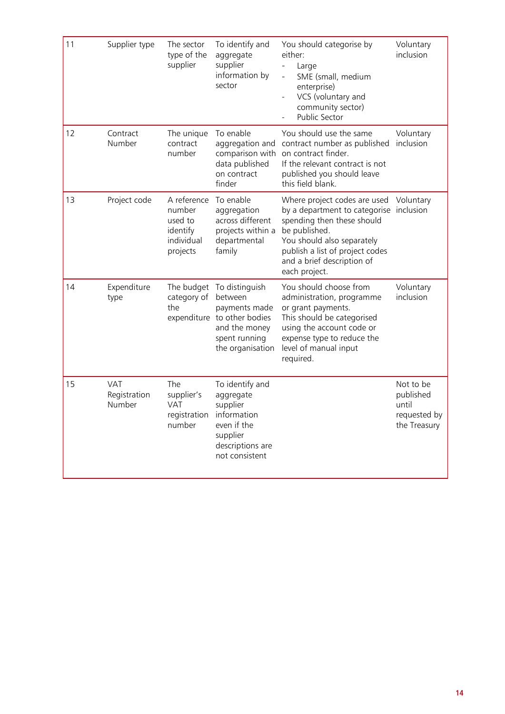| 11 | Supplier type                        | The sector<br>type of the<br>supplier                                  | To identify and<br>aggregate<br>supplier<br>information by<br>sector                                                            | You should categorise by<br>either:<br>Large<br>SME (small, medium<br>enterprise)<br>VCS (voluntary and<br>community sector)<br>Public Sector                                                                                                    | Voluntary<br><i>inclusion</i>                                   |
|----|--------------------------------------|------------------------------------------------------------------------|---------------------------------------------------------------------------------------------------------------------------------|--------------------------------------------------------------------------------------------------------------------------------------------------------------------------------------------------------------------------------------------------|-----------------------------------------------------------------|
| 12 | Contract<br>Number                   | The unique<br>contract<br>number                                       | To enable<br>aggregation and<br>comparison with<br>data published<br>on contract<br>finder                                      | You should use the same<br>contract number as published<br>on contract finder.<br>If the relevant contract is not<br>published you should leave<br>this field blank.                                                                             | Voluntary<br>inclusion                                          |
| 13 | Project code                         | A reference<br>number<br>used to<br>identify<br>individual<br>projects | To enable<br>aggregation<br>across different<br>projects within a<br>departmental<br>family                                     | Where project codes are used Voluntary<br>by a department to categorise inclusion<br>spending then these should<br>be published.<br>You should also separately<br>publish a list of project codes<br>and a brief description of<br>each project. |                                                                 |
| 14 | Expenditure<br>type                  | The budget<br>category of<br>the                                       | To distinguish<br>between<br>payments made<br>expenditure to other bodies<br>and the money<br>spent running<br>the organisation | You should choose from<br>administration, programme<br>or grant payments.<br>This should be categorised<br>using the account code or<br>expense type to reduce the<br>level of manual input<br>required.                                         | Voluntary<br>inclusion                                          |
| 15 | <b>VAT</b><br>Registration<br>Number | The<br>supplier's<br><b>VAT</b><br>registration<br>number              | To identify and<br>aggregate<br>supplier<br>information<br>even if the<br>supplier<br>descriptions are<br>not consistent        |                                                                                                                                                                                                                                                  | Not to be<br>published<br>until<br>requested by<br>the Treasury |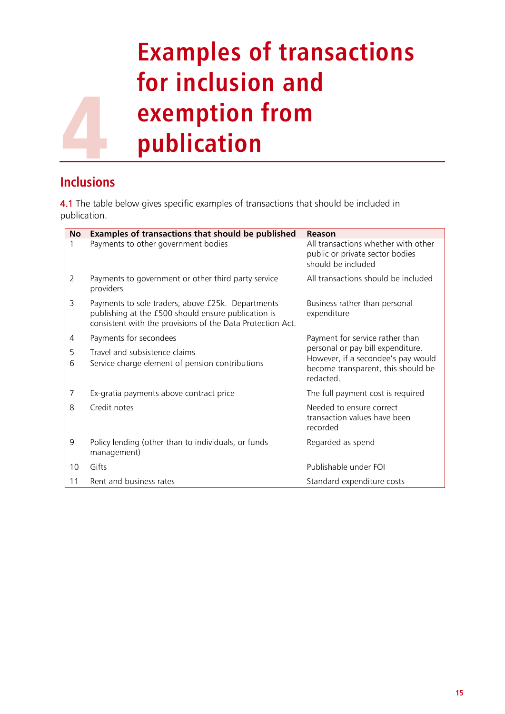# 4 **Examples of transactions for inclusion and exemption from publication**

## **Inclusions**

4.1 The table below gives specific examples of transactions that should be included in publication.

| <b>No</b> | Examples of transactions that should be published                                                                                                                      | Reason                                                                                       |  |  |
|-----------|------------------------------------------------------------------------------------------------------------------------------------------------------------------------|----------------------------------------------------------------------------------------------|--|--|
| 1         | Payments to other government bodies                                                                                                                                    | All transactions whether with other<br>public or private sector bodies<br>should be included |  |  |
| 2         | Payments to government or other third party service<br>providers                                                                                                       | All transactions should be included                                                          |  |  |
| 3         | Payments to sole traders, above £25k. Departments<br>publishing at the £500 should ensure publication is<br>consistent with the provisions of the Data Protection Act. | Business rather than personal<br>expenditure                                                 |  |  |
| 4         | Payments for secondees                                                                                                                                                 | Payment for service rather than                                                              |  |  |
| 5         | Travel and subsistence claims                                                                                                                                          | personal or pay bill expenditure.                                                            |  |  |
| 6         | Service charge element of pension contributions                                                                                                                        | However, if a secondee's pay would<br>become transparent, this should be<br>redacted.        |  |  |
| 7         | Ex-gratia payments above contract price                                                                                                                                | The full payment cost is required                                                            |  |  |
| 8         | Credit notes                                                                                                                                                           | Needed to ensure correct<br>transaction values have been<br>recorded                         |  |  |
| 9         | Policy lending (other than to individuals, or funds<br>management)                                                                                                     | Regarded as spend                                                                            |  |  |
| 10        | Gifts                                                                                                                                                                  | Publishable under FOI                                                                        |  |  |
| 11        | Rent and business rates                                                                                                                                                | Standard expenditure costs                                                                   |  |  |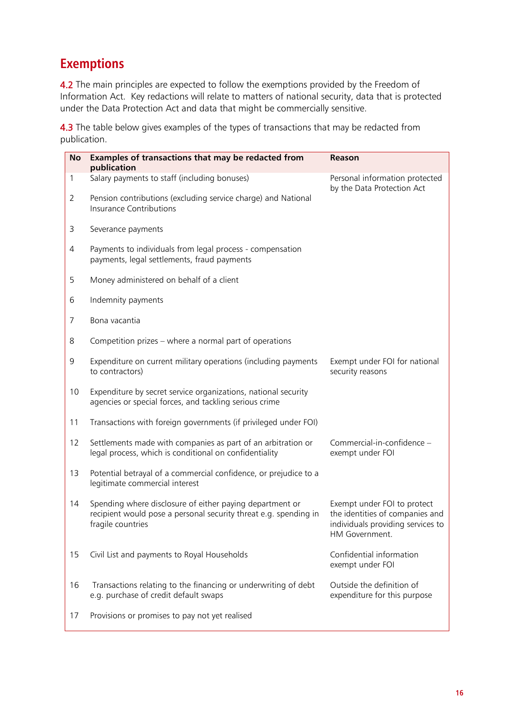# **Exemptions**

4.2 The main principles are expected to follow the exemptions provided by the Freedom of Information Act. Key redactions will relate to matters of national security, data that is protected under the Data Protection Act and data that might be commercially sensitive.

4.3 The table below gives examples of the types of transactions that may be redacted from publication.

| <b>No</b>      | Examples of transactions that may be redacted from<br>publication                                                                                 | Reason                                                                                                                |
|----------------|---------------------------------------------------------------------------------------------------------------------------------------------------|-----------------------------------------------------------------------------------------------------------------------|
| 1              | Salary payments to staff (including bonuses)                                                                                                      | Personal information protected                                                                                        |
| $\overline{2}$ | Pension contributions (excluding service charge) and National<br><b>Insurance Contributions</b>                                                   | by the Data Protection Act                                                                                            |
| 3              | Severance payments                                                                                                                                |                                                                                                                       |
| 4              | Payments to individuals from legal process - compensation<br>payments, legal settlements, fraud payments                                          |                                                                                                                       |
| 5              | Money administered on behalf of a client                                                                                                          |                                                                                                                       |
| 6              | Indemnity payments                                                                                                                                |                                                                                                                       |
| 7              | Bona vacantia                                                                                                                                     |                                                                                                                       |
| 8              | Competition prizes – where a normal part of operations                                                                                            |                                                                                                                       |
| 9              | Expenditure on current military operations (including payments<br>to contractors)                                                                 | Exempt under FOI for national<br>security reasons                                                                     |
| 10             | Expenditure by secret service organizations, national security<br>agencies or special forces, and tackling serious crime                          |                                                                                                                       |
| 11             | Transactions with foreign governments (if privileged under FOI)                                                                                   |                                                                                                                       |
| 12             | Settlements made with companies as part of an arbitration or<br>legal process, which is conditional on confidentiality                            | Commercial-in-confidence -<br>exempt under FOI                                                                        |
| 13             | Potential betrayal of a commercial confidence, or prejudice to a<br>legitimate commercial interest                                                |                                                                                                                       |
| 14             | Spending where disclosure of either paying department or<br>recipient would pose a personal security threat e.g. spending in<br>fragile countries | Exempt under FOI to protect<br>the identities of companies and<br>individuals providing services to<br>HM Government. |
| 15             | Civil List and payments to Royal Households                                                                                                       | Confidential information<br>exempt under FOI                                                                          |
| 16             | Transactions relating to the financing or underwriting of debt<br>e.g. purchase of credit default swaps                                           | Outside the definition of<br>expenditure for this purpose                                                             |
| 17             | Provisions or promises to pay not yet realised                                                                                                    |                                                                                                                       |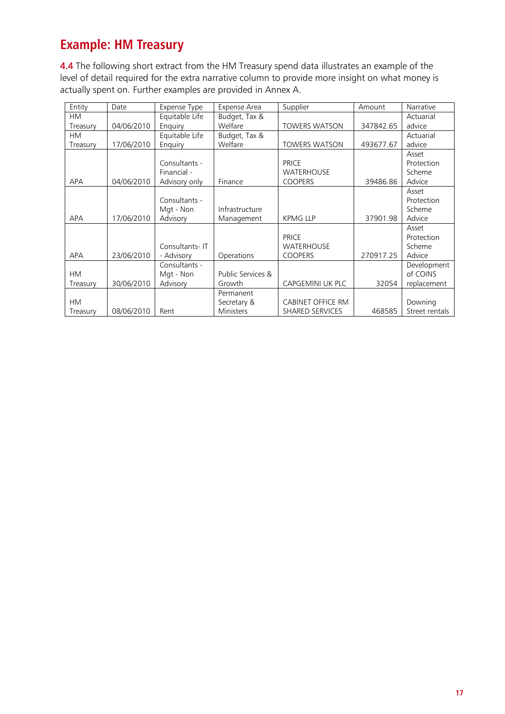# **Example: HM Treasury**

4.4 The following short extract from the HM Treasury spend data illustrates an example of the level of detail required for the extra narrative column to provide more insight on what money is actually spent on. Further examples are provided in Annex A.

| Entity     | Date       | Expense Type   | Expense Area      | Supplier                 | Amount    | Narrative      |
|------------|------------|----------------|-------------------|--------------------------|-----------|----------------|
| <b>HM</b>  |            | Equitable Life | Budget, Tax &     |                          |           | Actuarial      |
| Treasury   | 04/06/2010 | Enquiry        | Welfare           | <b>TOWERS WATSON</b>     | 347842.65 | advice         |
| <b>HM</b>  |            | Equitable Life | Budget, Tax &     |                          |           | Actuarial      |
| Treasury   | 17/06/2010 | Enquiry        | Welfare           | <b>TOWERS WATSON</b>     | 493677.67 | advice         |
|            |            |                |                   |                          |           | Asset          |
|            |            | Consultants -  |                   | <b>PRICE</b>             |           | Protection     |
|            |            | Financial -    |                   | <b>WATERHOUSE</b>        |           | Scheme         |
| <b>APA</b> | 04/06/2010 | Advisory only  | Finance           | <b>COOPERS</b>           | 39486.86  | Advice         |
|            |            |                |                   |                          |           | Asset          |
|            |            | Consultants -  |                   |                          |           | Protection     |
|            |            | Mgt - Non      | Infrastructure    |                          |           | Scheme         |
| <b>APA</b> | 17/06/2010 | Advisory       | Management        | <b>KPMG LLP</b>          | 37901.98  | Advice         |
|            |            |                |                   |                          |           | Asset          |
|            |            |                |                   | <b>PRICE</b>             |           | Protection     |
|            |            | Consultants-IT |                   | <b>WATERHOUSE</b>        |           | Scheme         |
| <b>APA</b> | 23/06/2010 | - Advisory     | Operations        | <b>COOPERS</b>           | 270917.25 | Advice         |
|            |            | Consultants -  |                   |                          |           | Development    |
| <b>HM</b>  |            | Mgt - Non      | Public Services & |                          |           | of COINS       |
| Treasury   | 30/06/2010 | Advisory       | Growth            | <b>CAPGEMINI UK PLC</b>  | 32054     | replacement    |
|            |            |                | Permanent         |                          |           |                |
| <b>HM</b>  |            |                | Secretary &       | <b>CABINET OFFICE RM</b> |           | Downing        |
| Treasury   | 08/06/2010 | Rent           | Ministers         | SHARED SERVICES          | 468585    | Street rentals |